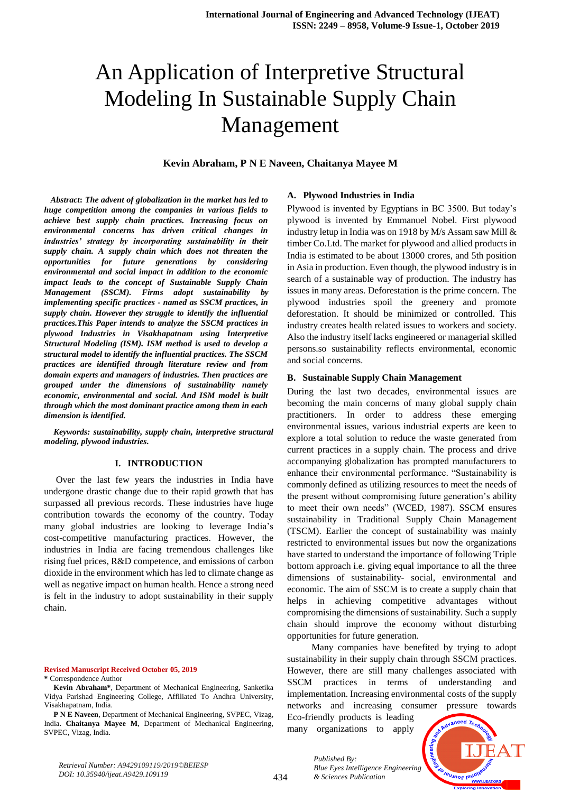**Kevin Abraham, P N E Naveen, Chaitanya Mayee M**

 *Abstract***:** *The advent of globalization in the market has led to huge competition among the companies in various fields to achieve best supply chain practices. Increasing focus on environmental concerns has driven critical changes in industries' strategy by incorporating sustainability in their supply chain. A supply chain which does not threaten the opportunities for future generations by considering environmental and social impact in addition to the economic impact leads to the concept of Sustainable Supply Chain Management (SSCM). Firms adopt sustainability by implementing specific practices - named as SSCM practices, in supply chain. However they struggle to identify the influential practices.This Paper intends to analyze the SSCM practices in plywood Industries in Visakhapatnam using Interpretive Structural Modeling (ISM). ISM method is used to develop a structural model to identify the influential practices. The SSCM practices are identified through literature review and from domain experts and managers of industries. Then practices are grouped under the dimensions of sustainability namely economic, environmental and social. And ISM model is built through which the most dominant practice among them in each dimension is identified.* 

*Keywords: sustainability, supply chain, interpretive structural modeling, plywood industries.* 

#### **I. INTRODUCTION**

Over the last few years the industries in India have undergone drastic change due to their rapid growth that has surpassed all previous records. These industries have huge contribution towards the economy of the country. Today many global industries are looking to leverage India's cost-competitive manufacturing practices. However, the industries in India are facing tremendous challenges like rising fuel prices, R&D competence, and emissions of carbon dioxide in the environment which has led to climate change as well as negative impact on human health. Hence a strong need is felt in the industry to adopt sustainability in their supply chain.

**Revised Manuscript Received October 05, 2019 \*** Correspondence Author

**Kevin Abraham\***, Department of Mechanical Engineering, Sanketika Vidya Parishad Engineering College, Affiliated To Andhra University, Visakhapatnam, India.

**P N E Naveen**, Department of Mechanical Engineering, SVPEC, Vizag, India. **Chaitanya Mayee M**, Department of Mechanical Engineering, SVPEC, Vizag, India.

#### **A. Plywood Industries in India**

Plywood is invented by Egyptians in BC 3500. But today's plywood is invented by Emmanuel Nobel. First plywood industry letup in India was on 1918 by M/s Assam saw Mill & timber Co.Ltd. The market for plywood and allied products in India is estimated to be about 13000 crores, and 5th position in Asia in production. Even though, the plywood industry is in search of a sustainable way of production. The industry has issues in many areas. Deforestation is the prime concern. The plywood industries spoil the greenery and promote deforestation. It should be minimized or controlled. This industry creates health related issues to workers and society. Also the industry itself lacks engineered or managerial skilled persons.so sustainability reflects environmental, economic and social concerns.

#### **B. Sustainable Supply Chain Management**

During the last two decades, environmental issues are becoming the main concerns of many global supply chain practitioners. In order to address these emerging environmental issues, various industrial experts are keen to explore a total solution to reduce the waste generated from current practices in a supply chain. The process and drive accompanying globalization has prompted manufacturers to enhance their environmental performance. "Sustainability is commonly defined as utilizing resources to meet the needs of the present without compromising future generation's ability to meet their own needs" (WCED, 1987). SSCM ensures sustainability in Traditional Supply Chain Management (TSCM). Earlier the concept of sustainability was mainly restricted to environmental issues but now the organizations have started to understand the importance of following Triple bottom approach i.e. giving equal importance to all the three dimensions of sustainability- social, environmental and economic. The aim of SSCM is to create a supply chain that helps in achieving competitive advantages without compromising the dimensions of sustainability. Such a supply chain should improve the economy without disturbing opportunities for future generation.

Many companies have benefited by trying to adopt sustainability in their supply chain through SSCM practices. However, there are still many challenges associated with SSCM practices in terms of understanding and implementation. Increasing environmental costs of the supply networks and increasing consumer pressure towards

Eco-friendly products is leading many organizations to apply

*& Sciences Publication* 

*Blue Eyes Intelligence Engineering* 

*Published By:*



*Retrieval Number: A9429109119/2019©BEIESP DOI: 10.35940/ijeat.A9429.109119*

434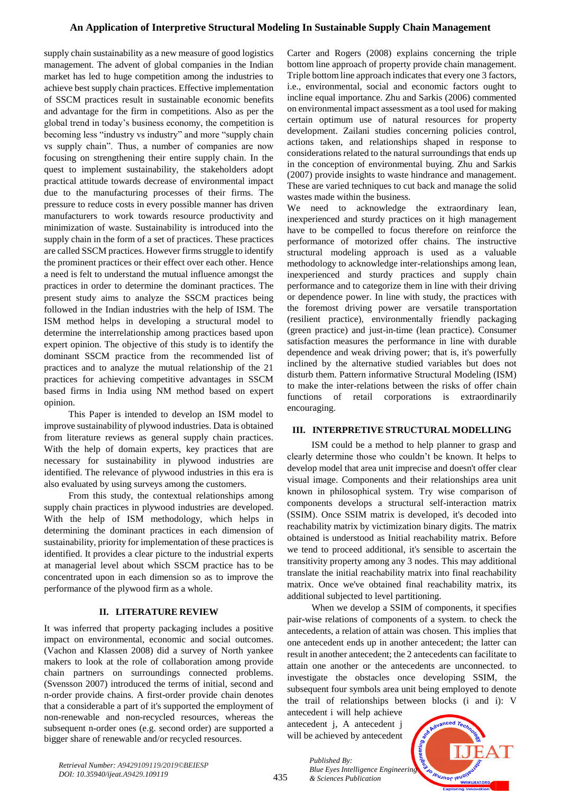supply chain sustainability as a new measure of good logistics management. The advent of global companies in the Indian market has led to huge competition among the industries to achieve best supply chain practices. Effective implementation of SSCM practices result in sustainable economic benefits and advantage for the firm in competitions. Also as per the global trend in today's business economy, the competition is becoming less "industry vs industry" and more "supply chain vs supply chain". Thus, a number of companies are now focusing on strengthening their entire supply chain. In the quest to implement sustainability, the stakeholders adopt practical attitude towards decrease of environmental impact due to the manufacturing processes of their firms. The pressure to reduce costs in every possible manner has driven manufacturers to work towards resource productivity and minimization of waste. Sustainability is introduced into the supply chain in the form of a set of practices. These practices are called SSCM practices. However firms struggle to identify the prominent practices or their effect over each other. Hence a need is felt to understand the mutual influence amongst the practices in order to determine the dominant practices. The present study aims to analyze the SSCM practices being followed in the Indian industries with the help of ISM. The ISM method helps in developing a structural model to determine the interrelationship among practices based upon expert opinion. The objective of this study is to identify the dominant SSCM practice from the recommended list of practices and to analyze the mutual relationship of the 21 practices for achieving competitive advantages in SSCM based firms in India using NM method based on expert opinion.

This Paper is intended to develop an ISM model to improve sustainability of plywood industries. Data is obtained from literature reviews as general supply chain practices. With the help of domain experts, key practices that are necessary for sustainability in plywood industries are identified. The relevance of plywood industries in this era is also evaluated by using surveys among the customers.

From this study, the contextual relationships among supply chain practices in plywood industries are developed. With the help of ISM methodology, which helps in determining the dominant practices in each dimension of sustainability, priority for implementation of these practices is identified. It provides a clear picture to the industrial experts at managerial level about which SSCM practice has to be concentrated upon in each dimension so as to improve the performance of the plywood firm as a whole.

# **II. LITERATURE REVIEW**

It was inferred that property packaging includes a positive impact on environmental, economic and social outcomes. (Vachon and Klassen 2008) did a survey of North yankee makers to look at the role of collaboration among provide chain partners on surroundings connected problems. (Svensson 2007) introduced the terms of initial, second and n-order provide chains. A first-order provide chain denotes that a considerable a part of it's supported the employment of non-renewable and non-recycled resources, whereas the subsequent n-order ones (e.g. second order) are supported a bigger share of renewable and/or recycled resources.

Carter and Rogers (2008) explains concerning the triple bottom line approach of property provide chain management. Triple bottom line approach indicates that every one 3 factors, i.e., environmental, social and economic factors ought to incline equal importance. Zhu and Sarkis (2006) commented on environmental impact assessment as a tool used for making certain optimum use of natural resources for property development. Zailani studies concerning policies control, actions taken, and relationships shaped in response to considerations related to the natural surroundings that ends up in the conception of environmental buying. Zhu and Sarkis (2007) provide insights to waste hindrance and management. These are varied techniques to cut back and manage the solid wastes made within the business.

We need to acknowledge the extraordinary lean, inexperienced and sturdy practices on it high management have to be compelled to focus therefore on reinforce the performance of motorized offer chains. The instructive structural modeling approach is used as a valuable methodology to acknowledge inter-relationships among lean, inexperienced and sturdy practices and supply chain performance and to categorize them in line with their driving or dependence power. In line with study, the practices with the foremost driving power are versatile transportation (resilient practice), environmentally friendly packaging (green practice) and just-in-time (lean practice). Consumer satisfaction measures the performance in line with durable dependence and weak driving power; that is, it's powerfully inclined by the alternative studied variables but does not disturb them. Pattern informative Structural Modeling (ISM) to make the inter-relations between the risks of offer chain functions of retail corporations is extraordinarily encouraging.

## **III. INTERPRETIVE STRUCTURAL MODELLING**

ISM could be a method to help planner to grasp and clearly determine those who couldn't be known. It helps to develop model that area unit imprecise and doesn't offer clear visual image. Components and their relationships area unit known in philosophical system. Try wise comparison of components develops a structural self-interaction matrix (SSIM). Once SSIM matrix is developed, it's decoded into reachability matrix by victimization binary digits. The matrix obtained is understood as Initial reachability matrix. Before we tend to proceed additional, it's sensible to ascertain the transitivity property among any 3 nodes. This may additional translate the initial reachability matrix into final reachability matrix. Once we've obtained final reachability matrix, its additional subjected to level partitioning.

When we develop a SSIM of components, it specifies pair-wise relations of components of a system. to check the antecedents, a relation of attain was chosen. This implies that one antecedent ends up in another antecedent; the latter can result in another antecedent; the 2 antecedents can facilitate to attain one another or the antecedents are unconnected. to investigate the obstacles once developing SSIM, the subsequent four symbols area unit being employed to denote the trail of relationships between blocks (i and i): V

antecedent i will help achieve antecedent j, A antecedent j will be achieved by antecedent

*& Sciences Publication* 

*Published By:*



*Retrieval Number: A9429109119/2019©BEIESP DOI: 10.35940/ijeat.A9429.109119*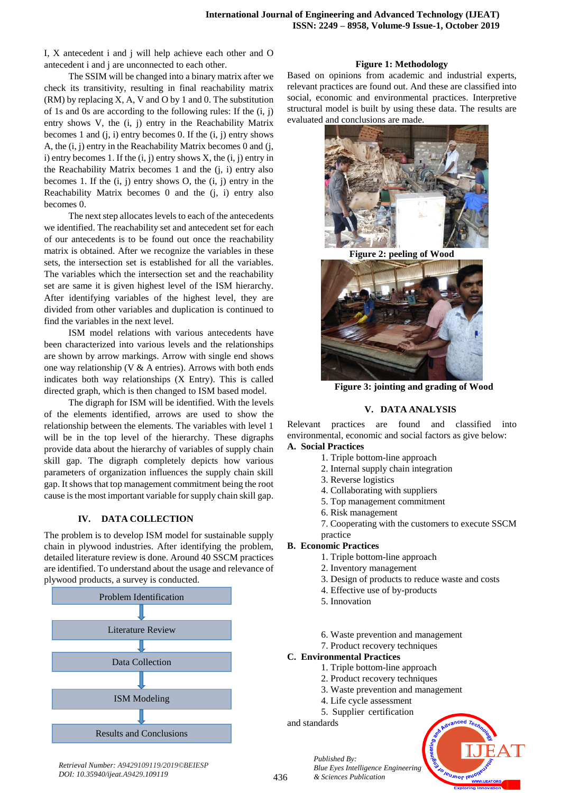I, X antecedent i and j will help achieve each other and O antecedent i and j are unconnected to each other.

The SSIM will be changed into a binary matrix after we check its transitivity, resulting in final reachability matrix  $(RM)$  by replacing X, A, V and O by 1 and 0. The substitution of 1s and 0s are according to the following rules: If the (i, j) entry shows V, the (i, j) entry in the Reachability Matrix becomes 1 and  $(i, i)$  entry becomes 0. If the  $(i, j)$  entry shows A, the (i, j) entry in the Reachability Matrix becomes 0 and (j, i) entry becomes 1. If the  $(i, j)$  entry shows  $X$ , the  $(i, j)$  entry in the Reachability Matrix becomes 1 and the (j, i) entry also becomes 1. If the  $(i, j)$  entry shows O, the  $(i, j)$  entry in the Reachability Matrix becomes 0 and the (j, i) entry also becomes 0.

The next step allocates levels to each of the antecedents we identified. The reachability set and antecedent set for each of our antecedents is to be found out once the reachability matrix is obtained. After we recognize the variables in these sets, the intersection set is established for all the variables. The variables which the intersection set and the reachability set are same it is given highest level of the ISM hierarchy. After identifying variables of the highest level, they are divided from other variables and duplication is continued to find the variables in the next level.

ISM model relations with various antecedents have been characterized into various levels and the relationships are shown by arrow markings. Arrow with single end shows one way relationship (V & A entries). Arrows with both ends indicates both way relationships (X Entry). This is called directed graph, which is then changed to ISM based model.

The digraph for ISM will be identified. With the levels of the elements identified, arrows are used to show the relationship between the elements. The variables with level 1 will be in the top level of the hierarchy. These digraphs provide data about the hierarchy of variables of supply chain skill gap. The digraph completely depicts how various parameters of organization influences the supply chain skill gap. It shows that top management commitment being the root cause is the most important variable for supply chain skill gap.

## **IV. DATA COLLECTION**

The problem is to develop ISM model for sustainable supply chain in plywood industries. After identifying the problem, detailed literature review is done. Around 40 SSCM practices are identified. To understand about the usage and relevance of plywood products, a survey is conducted.



#### **Figure 1: Methodology**

Based on opinions from academic and industrial experts, relevant practices are found out. And these are classified into social, economic and environmental practices. Interpretive structural model is built by using these data. The results are evaluated and conclusions are made.



**Figure 2: peeling of Wood**



**Figure 3: jointing and grading of Wood**

## **V. DATA ANALYSIS**

Relevant practices are found and classified into environmental, economic and social factors as give below: **A. Social Practices**

- 1. Triple bottom-line approach
	- 2. Internal supply chain integration
	- 3. Reverse logistics
	- 4. Collaborating with suppliers
	- 5. Top management commitment
	- 6. Risk management
- 7. Cooperating with the customers to execute SSCM practice

## **B. Economic Practices**

- 1. Triple bottom-line approach
- 2. Inventory management
- 3. Design of products to reduce waste and costs
- 4. Effective use of by-products
- 5. Innovation
- 6. Waste prevention and management
- 7. Product recovery techniques

## **C. Environmental Practices**

*Published By:*

*& Sciences Publication* 

- 1. Triple bottom-line approach
- 2. Product recovery techniques
- 3. Waste prevention and management
- 4. Life cycle assessment
- 5. Supplier certification

and standards



*Retrieval Number: A9429109119/2019©BEIESP DOI: 10.35940/ijeat.A9429.109119*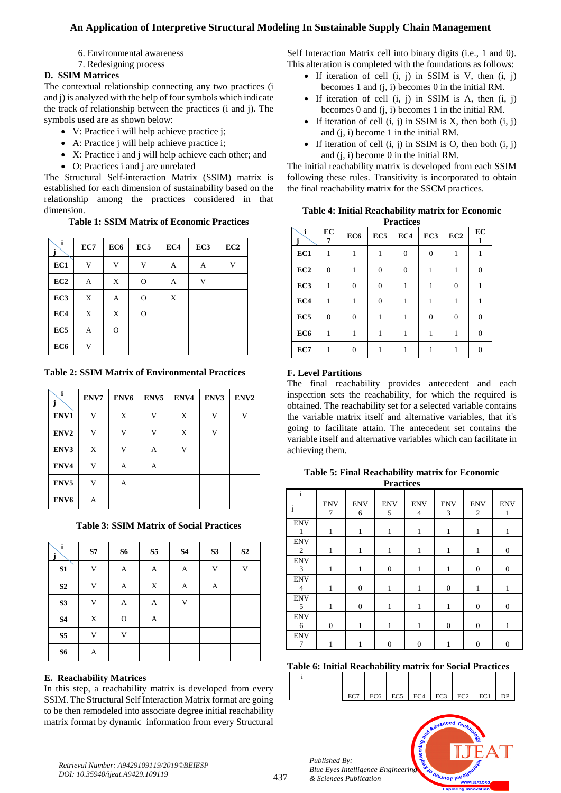- 6. Environmental awareness
- 7. Redesigning process

# **D. SSIM Matrices**

The contextual relationship connecting any two practices (i and j) is analyzed with the help of four symbols which indicate the track of relationship between the practices (i and j). The symbols used are as shown below:

- V: Practice i will help achieve practice j;
- A: Practice j will help achieve practice i;
- X: Practice i and j will help achieve each other; and
- O: Practices i and j are unrelated

The Structural Self-interaction Matrix (SSIM) matrix is established for each dimension of sustainability based on the relationship among the practices considered in that dimension.

# **Table 1: SSIM Matrix of Economic Practices**

| i<br>j          | EC7 | EC6           | EC <sub>5</sub> | EC4         | EC3 | EC <sub>2</sub> |
|-----------------|-----|---------------|-----------------|-------------|-----|-----------------|
| EC1             | V   | V             | V               | A           | A   | V               |
| EC2             | A   | X             | $\mathcal{O}$   | A           | V   |                 |
| EC <sub>3</sub> | X   | A             | $\mathcal{O}$   | $\mathbf X$ |     |                 |
| EC4             | X   | X             | $\mathcal{O}$   |             |     |                 |
| EC <sub>5</sub> | А   | $\mathcal{O}$ |                 |             |     |                 |
| EC <sub>6</sub> | V   |               |                 |             |     |                 |

**Table 2: SSIM Matrix of Environmental Practices**

| i<br>j           | ENV7 | ENV <sub>6</sub> | ENV <sub>5</sub> | ENV4 | ENV3         | ENV <sub>2</sub> |
|------------------|------|------------------|------------------|------|--------------|------------------|
| ENV1             | V    | X                | V                | X    | V            | V                |
| ENV <sub>2</sub> | V    | V                | V                | X    | $\mathbf{V}$ |                  |
| ENV3             | X    | V                | А                | V    |              |                  |
| ENV4             | V    | А                | А                |      |              |                  |
| ENV <sub>5</sub> | V    | А                |                  |      |              |                  |
| ENV <sub>6</sub> | A    |                  |                  |      |              |                  |

**Table 3: SSIM Matrix of Social Practices**

| i<br>j         | S7                        | <b>S6</b>   | S <sub>5</sub> | <b>S4</b>   | S3 | S <sub>2</sub> |
|----------------|---------------------------|-------------|----------------|-------------|----|----------------|
| S1             | V                         | A           | A              | A           | V  | V              |
| S <sub>2</sub> | V                         | A           | X              | A           | A  |                |
| S <sub>3</sub> | V                         | A           | A              | $\mathbf V$ |    |                |
| <b>S4</b>      | $\boldsymbol{\mathrm{X}}$ | $\mathbf O$ | А              |             |    |                |
| S <sub>5</sub> | V                         | V           |                |             |    |                |
| S6             | A                         |             |                |             |    |                |

# **E. Reachability Matrices**

In this step, a reachability matrix is developed from every SSIM. The Structural Self Interaction Matrix format are going to be then remodeled into associate degree initial reachability matrix format by dynamic information from every Structural Self Interaction Matrix cell into binary digits (i.e., 1 and 0). This alteration is completed with the foundations as follows:

- If iteration of cell  $(i, j)$  in SSIM is V, then  $(i, j)$ becomes 1 and (j, i) becomes 0 in the initial RM.
- If iteration of cell  $(i, j)$  in SSIM is A, then  $(i, j)$ becomes 0 and (j, i) becomes 1 in the initial RM.
- $\bullet$  If iteration of cell (i, j) in SSIM is X, then both (i, j) and (j, i) become 1 in the initial RM.
- If iteration of cell  $(i, j)$  in SSIM is O, then both  $(i, j)$ and (j, i) become 0 in the initial RM.

The initial reachability matrix is developed from each SSIM following these rules. Transitivity is incorporated to obtain the final reachability matrix for the SSCM practices.

|  | <b>Table 4: Initial Reachability matrix for Economic</b> |  |  |
|--|----------------------------------------------------------|--|--|
|  | <b>Drootiges</b>                                         |  |  |

|                 | <b>r</b> ractices |                 |                 |              |                  |                 |                |  |  |
|-----------------|-------------------|-----------------|-----------------|--------------|------------------|-----------------|----------------|--|--|
| i<br>j          | EC<br>7           | EC <sub>6</sub> | EC <sub>5</sub> | EC4          | EC <sub>3</sub>  | EC <sub>2</sub> | EC<br>1        |  |  |
| EC1             |                   | 1               | 1               | $\mathbf{0}$ | $\mathbf{0}$     |                 |                |  |  |
| EC2             | $\overline{0}$    |                 | $\overline{0}$  | 0            |                  |                 | 0              |  |  |
| EC <sub>3</sub> | 1                 | $\overline{0}$  | $\overline{0}$  | 1            | 1                | 0               |                |  |  |
| EC4             | 1                 | 1               | $\overline{0}$  | 1            | 1                |                 |                |  |  |
| EC <sub>5</sub> | $\overline{0}$    | $\theta$        |                 |              | $\boldsymbol{0}$ | $\Omega$        | $\overline{0}$ |  |  |
| EC <sub>6</sub> |                   |                 |                 |              |                  |                 | $\overline{0}$ |  |  |
| EC7             |                   | $\Omega$        |                 |              |                  |                 | 0              |  |  |

# **F. Level Partitions**

The final reachability provides antecedent and each inspection sets the reachability, for which the required is obtained. The reachability set for a selected variable contains the variable matrix itself and alternative variables, that it's going to facilitate attain. The antecedent set contains the variable itself and alternative variables which can facilitate in achieving them.

**Table 5: Final Reachability matrix for Economic Practices**

| $\mathbf{i}$                 | <b>ENV</b><br>7  | <b>ENV</b><br>6  | <b>ENV</b><br>5  | <b>ENV</b><br>$\overline{4}$ | <b>ENV</b><br>3  | <b>ENV</b><br>2  | <b>ENV</b><br>1  |
|------------------------------|------------------|------------------|------------------|------------------------------|------------------|------------------|------------------|
| <b>ENV</b><br>1              | 1                | 1                | $\mathbf{1}$     | 1                            | 1                | 1                | 1                |
| <b>ENV</b><br>2              | 1                | 1                | 1                |                              | 1                | 1                | $\boldsymbol{0}$ |
| <b>ENV</b><br>$\overline{3}$ |                  |                  | $\boldsymbol{0}$ |                              |                  | $\boldsymbol{0}$ | $\boldsymbol{0}$ |
| <b>ENV</b><br>$\overline{4}$ | 1                | $\boldsymbol{0}$ |                  |                              | $\boldsymbol{0}$ | 1                | 1                |
| <b>ENV</b><br>5              | 1                | $\boldsymbol{0}$ | 1                | 1                            | 1                | $\boldsymbol{0}$ | $\boldsymbol{0}$ |
| <b>ENV</b><br>6              | $\boldsymbol{0}$ | 1                | 1                |                              | $\boldsymbol{0}$ | $\boldsymbol{0}$ |                  |
| <b>ENV</b><br>7              |                  |                  | $\theta$         | $\overline{0}$               |                  | $\theta$         | $\mathbf{0}$     |

**Table 6: Initial Reachability matrix for Social Practices**

| $EC7$ $EC6$ $EC5$ $EC4$ $EC3$ $EC2$ $EC1$ $DP$ |  |  |  |
|------------------------------------------------|--|--|--|

**PUJNOF IBUOT** 



i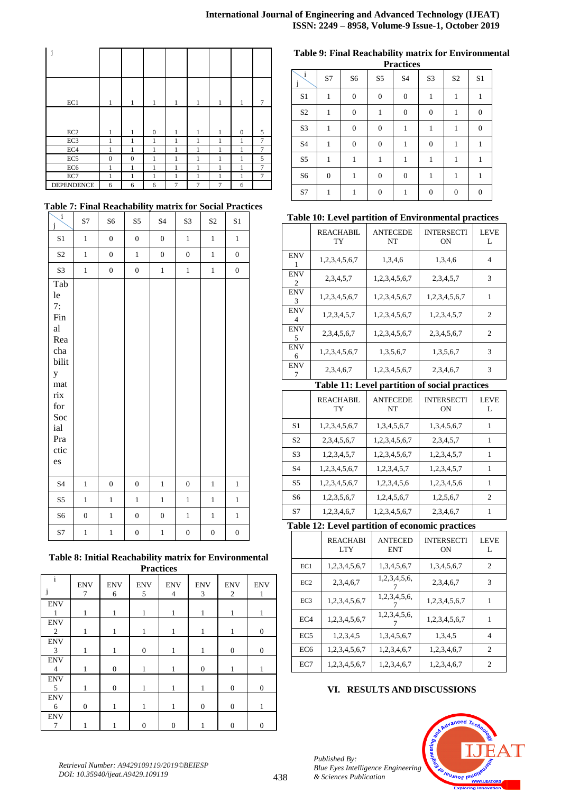| j                 |              |                |                  |   |              |              |                |                |
|-------------------|--------------|----------------|------------------|---|--------------|--------------|----------------|----------------|
| EC1               | $\mathbf{1}$ | 1              | 1                | 1 | 1            | $\mathbf{1}$ | 1              | 7              |
| EC2               | $\mathbf{1}$ | $\mathbf{1}$   | $\boldsymbol{0}$ | 1 | $\mathbf{1}$ | $\mathbf{1}$ | $\overline{0}$ | 5              |
| EC3               | 1            | 1              | 1                | 1 | 1            | 1            | 1              | 7              |
| EC4               | 1            | 1              | 1                | 1 | 1            | 1            |                | $\overline{7}$ |
| EC <sub>5</sub>   | $\mathbf{0}$ | $\overline{0}$ | 1                | 1 | 1            | 1            | 1              | 5              |
| EC <sub>6</sub>   | 1            | 1              | 1                | 1 | 1            | 1            | н              | 7              |
| EC7               | 1            | 1              | 1                | 1 | 1            | 1            | 1              | 7              |
| <b>DEPENDENCE</b> | 6            | 6              | 6                | 7 | 7            | 7            | 6              |                |

## **Table 7: Final Reachability matrix for Social Practices**

| $\mathbf{i}$<br>j                                                                                                                                                  | S7               | S6               | S5               | <b>S4</b>        | S <sub>3</sub>   | S <sub>2</sub>   | S <sub>1</sub>   |
|--------------------------------------------------------------------------------------------------------------------------------------------------------------------|------------------|------------------|------------------|------------------|------------------|------------------|------------------|
| $\mathbf{S}1$                                                                                                                                                      | $\,1$            | $\boldsymbol{0}$ | $\overline{0}$   | $\boldsymbol{0}$ | $\mathbf{1}$     | $\,1$            | $\,1$            |
| $\rm S2$                                                                                                                                                           | $\,1$            | $\boldsymbol{0}$ | $\,1$            | $\boldsymbol{0}$ | $\boldsymbol{0}$ | $\,1$            | $\boldsymbol{0}$ |
| S3                                                                                                                                                                 | $\,1$            | $\boldsymbol{0}$ | $\overline{0}$   | $\mathbf{1}$     | $\mathbf{1}$     | $\,1$            | $\boldsymbol{0}$ |
| Tab<br>$l$ e<br>7:<br>Fin<br>$\mathop{\rm al}\nolimits$<br>Rea<br>cha<br>bilit<br>y<br>$\operatorname{mat}$<br>$\dot{r}$<br>for<br>Soc<br>ial<br>Pra<br>ctic<br>es |                  |                  |                  |                  |                  |                  |                  |
| <b>S4</b>                                                                                                                                                          | $\,1$            | $\boldsymbol{0}$ | $\boldsymbol{0}$ | $\,1$            | $\boldsymbol{0}$ | $\,1$            | $\,1$            |
| S5                                                                                                                                                                 | $\,1$            | $\mathbf{1}$     | $\,1$            | $\,1$            | $\mathbf{1}$     | $\,1$            | $\mathbf{1}$     |
| S6                                                                                                                                                                 | $\boldsymbol{0}$ | $\,1$            | $\boldsymbol{0}$ | $\boldsymbol{0}$ | $\mathbf{1}$     | $\,1$            | $\mathbf{1}$     |
| S7                                                                                                                                                                 | $\mathbf{1}$     | $\mathbf{1}$     | $\boldsymbol{0}$ | $\,1$            | $\boldsymbol{0}$ | $\boldsymbol{0}$ | $\boldsymbol{0}$ |

# **Table 8: Initial Reachability matrix for Environmental**

|                              | <b>Practices</b> |                  |                  |                              |                  |                  |                  |  |
|------------------------------|------------------|------------------|------------------|------------------------------|------------------|------------------|------------------|--|
| $\mathbf{i}$                 | <b>ENV</b><br>7  | <b>ENV</b><br>6  | <b>ENV</b><br>5  | <b>ENV</b><br>$\overline{4}$ | <b>ENV</b><br>3  | <b>ENV</b><br>2  | <b>ENV</b><br>1  |  |
| <b>ENV</b><br>1              | 1                | 1                | 1                | 1                            | 1                | 1                | 1                |  |
| <b>ENV</b><br>2              | 1                | 1                | 1                | 1                            | 1                | 1                | $\boldsymbol{0}$ |  |
| <b>ENV</b><br>3              | 1                | 1                | $\boldsymbol{0}$ | 1                            | 1                | $\boldsymbol{0}$ | $\boldsymbol{0}$ |  |
| <b>ENV</b><br>$\overline{4}$ | 1                | $\boldsymbol{0}$ |                  | 1                            | $\boldsymbol{0}$ | 1                | 1                |  |
| <b>ENV</b><br>5              | 1                | $\boldsymbol{0}$ | 1                | 1                            | 1                | $\mathbf{0}$     | $\boldsymbol{0}$ |  |
| <b>ENV</b><br>6              | $\boldsymbol{0}$ | 1                | 1                | 1                            | $\boldsymbol{0}$ | $\mathbf{0}$     | 1                |  |
| <b>ENV</b><br>7              |                  |                  | 0                | $\boldsymbol{0}$             | 1                | 0                | $\boldsymbol{0}$ |  |

#### **Table 9: Final Reachability matrix for Environmental Practices**

|                | 1 Lacuces        |                  |                  |                  |                  |                |                  |  |  |
|----------------|------------------|------------------|------------------|------------------|------------------|----------------|------------------|--|--|
| $\mathbf{i}$   | S7               | S6               | S <sub>5</sub>   | S4               | S3               | S <sub>2</sub> | S <sub>1</sub>   |  |  |
| S1             | 1                | $\boldsymbol{0}$ | $\boldsymbol{0}$ | $\boldsymbol{0}$ | 1                | 1              | 1                |  |  |
| S <sub>2</sub> | $\mathbf{1}$     | $\mathbf{0}$     | 1                | $\boldsymbol{0}$ | $\overline{0}$   | 1              | $\boldsymbol{0}$ |  |  |
| S3             | 1                | $\boldsymbol{0}$ | $\mathbf{0}$     | 1                | 1                | 1              | $\boldsymbol{0}$ |  |  |
| S4             | 1                | $\boldsymbol{0}$ | $\mathbf{0}$     | 1                | $\boldsymbol{0}$ | 1              | 1                |  |  |
| S5             | 1                | 1                | 1                | 1                | 1                | 1              | 1                |  |  |
| S6             | $\boldsymbol{0}$ | 1                | $\mathbf{0}$     | $\boldsymbol{0}$ | 1                | 1              | 1                |  |  |
| S7             | 1                |                  | $\theta$         | 1                | $\theta$         | $\theta$       | $\boldsymbol{0}$ |  |  |

# **Table 10: Level partition of Environmental practices**

|                 | REACHABIL<br>TY  | <b>ANTECEDE</b><br>NT | <b>INTERSECTI</b><br>ON | <b>LEVE</b><br>L |
|-----------------|------------------|-----------------------|-------------------------|------------------|
| <b>ENV</b>      | 1,2,3,4,5,6,7    | 1,3,4,6               | 1,3,4,6                 | 4                |
| ENV<br>2        | 2, 3, 4, 5, 7    | 1,2,3,4,5,6,7         | 2,3,4,5,7               | 3                |
| <b>ENV</b><br>3 | 1,2,3,4,5,6,7    | 1,2,3,4,5,6,7         | 1,2,3,4,5,6,7           |                  |
| <b>ENV</b><br>4 | 1,2,3,4,5,7      | 1,2,3,4,5,6,7         | 1,2,3,4,5,7             | $\mathfrak{D}$   |
| <b>ENV</b><br>5 | 2, 3, 4, 5, 6, 7 | 1,2,3,4,5,6,7         | 2, 3, 4, 5, 6, 7        | $\overline{c}$   |
| ENV<br>6        | 1,2,3,4,5,6,7    | 1,3,5,6,7             | 1,3,5,6,7               | 3                |
| <b>ENV</b>      | 2,3,4,6,7        | 1,2,3,4,5,6,7         | 2,3,4,6,7               | 3                |

# **Table 11: Level partition of social practices**

|                | REACHABIL<br>TY  | <b>ANTECEDE</b><br>NT | <b>INTERSECTI</b><br>ON | <b>LEVE</b>    |
|----------------|------------------|-----------------------|-------------------------|----------------|
| S1             | 1,2,3,4,5,6,7    | 1, 3, 4, 5, 6, 7      | 1,3,4,5,6,7             |                |
| S <sub>2</sub> | 2, 3, 4, 5, 6, 7 | 1,2,3,4,5,6,7         | 2, 3, 4, 5, 7           |                |
| S3             | 1,2,3,4,5,7      | 1,2,3,4,5,6,7         | 1,2,3,4,5,7             |                |
| S4             | 1,2,3,4,5,6,7    | 1,2,3,4,5,7           | 1,2,3,4,5,7             |                |
| S5             | 1,2,3,4,5,6,7    | 1,2,3,4,5,6           | 1,2,3,4,5,6             | 1              |
| S6             | 1,2,3,5,6,7      | 1,2,4,5,6,7           | 1,2,5,6,7               | $\mathfrak{D}$ |
| S7             | 1,2,3,4,6,7      | 1,2,3,4,5,6,7         | 2,3,4,6,7               |                |

# **Table 12: Level partition of economic practices**

|                 | <b>REACHABI</b><br><b>LTY</b> | <b>ANTECED</b><br><b>ENT</b> | <b>INTERSECTI</b><br><b>ON</b> | <b>LEVE</b>    |
|-----------------|-------------------------------|------------------------------|--------------------------------|----------------|
| EC1             | 1,2,3,4,5,6,7                 | 1,3,4,5,6,7                  | 1,3,4,5,6,7                    | $\overline{c}$ |
| EC2             | 2,3,4,6,7                     | 1,2,3,4,5,6,                 | 2,3,4,6,7                      | 3              |
| EC <sub>3</sub> | 1,2,3,4,5,6,7                 | 1,2,3,4,5,6,                 | 1,2,3,4,5,6,7                  |                |
| EC <sub>4</sub> | 1,2,3,4,5,6,7                 | 1,2,3,4,5,6,                 | 1,2,3,4,5,6,7                  |                |
| EC <sub>5</sub> | 1,2,3,4,5                     | 1,3,4,5,6,7                  | 1,3,4,5                        | 4              |
| EC <sub>6</sub> | 1,2,3,4,5,6,7                 | 1,2,3,4,6,7                  | 1,2,3,4,6,7                    | 2              |
| EC7             | 1,2,3,4,5,6,7                 | 1,2,3,4,6,7                  | 1,2,3,4,6,7                    | 2              |

# **VI. RESULTS AND DISCUSSIONS**



*Published By:*

*& Sciences Publication*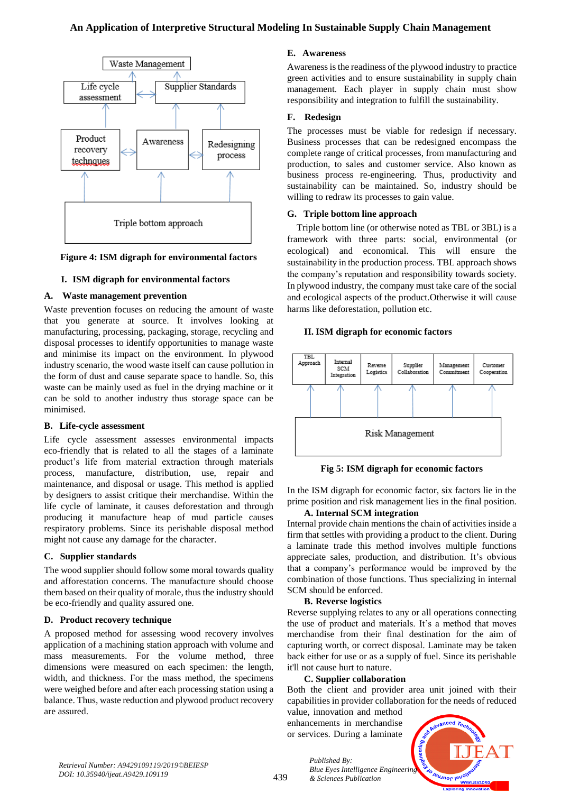

#### **Figure 4: ISM digraph for environmental factors**

## **I. ISM digraph for environmental factors**

## **A. Waste management prevention**

Waste prevention focuses on reducing the amount of waste that you generate at source. It involves looking at manufacturing, processing, packaging, storage, recycling and disposal processes to identify opportunities to manage waste and minimise its impact on the environment. In plywood industry scenario, the wood waste itself can cause pollution in the form of dust and cause separate space to handle. So, this waste can be mainly used as fuel in the drying machine or it can be sold to another industry thus storage space can be minimised.

#### **B. Life-cycle assessment**

Life cycle assessment assesses environmental impacts eco-friendly that is related to all the stages of a laminate product's life from material extraction through materials process, manufacture, distribution, use, repair and maintenance, and disposal or usage. This method is applied by designers to assist critique their merchandise. Within the life cycle of laminate, it causes deforestation and through producing it manufacture heap of mud particle causes respiratory problems. Since its perishable disposal method might not cause any damage for the character.

## **C. Supplier standards**

The wood supplier should follow some moral towards quality and afforestation concerns. The manufacture should choose them based on their quality of morale, thus the industry should be eco-friendly and quality assured one.

#### **D. Product recovery technique**

A proposed method for assessing wood recovery involves application of a machining station approach with volume and mass measurements. For the volume method, three dimensions were measured on each specimen: the length, width, and thickness. For the mass method, the specimens were weighed before and after each processing station using a balance. Thus, waste reduction and plywood product recovery are assured.

#### **E. Awareness**

Awareness is the readiness of the plywood industry to practice green activities and to ensure sustainability in supply chain management. Each player in supply chain must show responsibility and integration to fulfill the sustainability.

#### **F. Redesign**

The processes must be viable for redesign if necessary. Business processes that can be redesigned encompass the complete range of critical processes, from manufacturing and production, to sales and customer service. Also known as business process re-engineering. Thus, productivity and sustainability can be maintained. So, industry should be willing to redraw its processes to gain value.

## **G. Triple bottom line approach**

Triple bottom line (or otherwise noted as TBL or 3BL) is a framework with three parts: social, environmental (or ecological) and economical. This will ensure the sustainability in the production process. TBL approach shows the company's reputation and responsibility towards society. In plywood industry, the company must take care of the social and ecological aspects of the product.Otherwise it will cause harms like deforestation, pollution etc.

#### **II. ISM digraph for economic factors**



**Fig 5: ISM digraph for economic factors**

In the ISM digraph for economic factor, six factors lie in the prime position and risk management lies in the final position. **A. Internal SCM integration**

Internal provide chain mentions the chain of activities inside a

firm that settles with providing a product to the client. During a laminate trade this method involves multiple functions appreciate sales, production, and distribution. It's obvious that a company's performance would be improved by the combination of those functions. Thus specializing in internal SCM should be enforced.

#### **B. Reverse logistics**

Reverse supplying relates to any or all operations connecting the use of product and materials. It's a method that moves merchandise from their final destination for the aim of capturing worth, or correct disposal. Laminate may be taken back either for use or as a supply of fuel. Since its perishable it'll not cause hurt to nature.

#### **C. Supplier collaboration**

Both the client and provider area unit joined with their capabilities in provider collaboration for the needs of reduced

value, innovation and method enhancements in merchandise or services. During a laminate

*& Sciences Publication* 

*Published By:*



*Retrieval Number: A9429109119/2019©BEIESP DOI: 10.35940/ijeat.A9429.109119*

439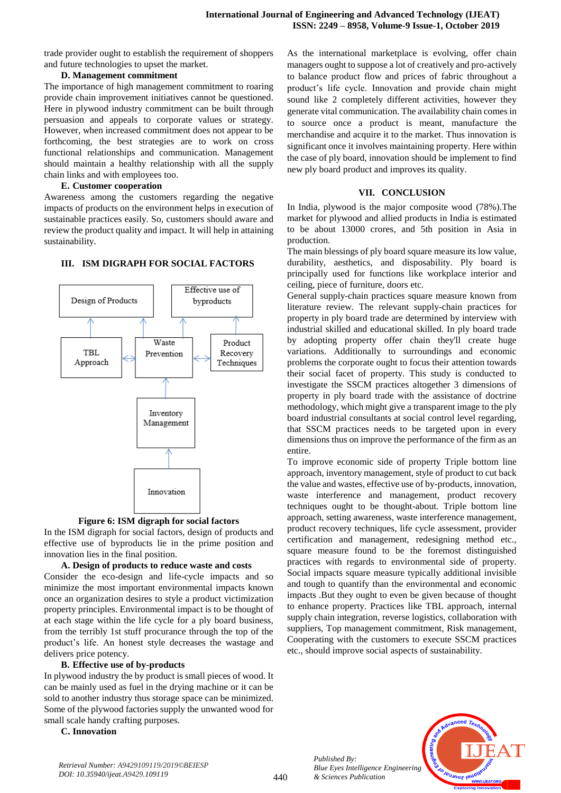trade provider ought to establish the requirement of shoppers and future technologies to upset the market.

#### **D. Management commitment**

The importance of high management commitment to roaring provide chain improvement initiatives cannot be questioned. Here in plywood industry commitment can be built through persuasion and appeals to corporate values or strategy. However, when increased commitment does not appear to be forthcoming, the best strategies are to work on cross functional relationships and communication. Management should maintain a healthy relationship with all the supply chain links and with employees too.

#### **E. Customer cooperation**

Awareness among the customers regarding the negative impacts of products on the environment helps in execution of sustainable practices easily. So, customers should aware and review the product quality and impact. It will help in attaining sustainability.

### **III. ISM DIGRAPH FOR SOCIAL FACTORS**



**Figure 6: ISM digraph for social factors**

In the ISM digraph for social factors, design of products and effective use of byproducts lie in the prime position and innovation lies in the final position.

#### **A. Design of products to reduce waste and costs**

Consider the eco-design and life-cycle impacts and so minimize the most important environmental impacts known once an organization desires to style a product victimization property principles. Environmental impact is to be thought of at each stage within the life cycle for a ply board business, from the terribly 1st stuff procurance through the top of the product's life. An honest style decreases the wastage and delivers price potency.

#### **B. Effective use of by-products**

In plywood industry the by product is small pieces of wood. It can be mainly used as fuel in the drying machine or it can be sold to another industry thus storage space can be minimized. Some of the plywood factories supply the unwanted wood for small scale handy crafting purposes.

## **C. Innovation**

As the international marketplace is evolving, offer chain managers ought to suppose a lot of creatively and pro-actively to balance product flow and prices of fabric throughout a product's life cycle. Innovation and provide chain might sound like 2 completely different activities, however they generate vital communication. The availability chain comes in to source once a product is meant, manufacture the merchandise and acquire it to the market. Thus innovation is significant once it involves maintaining property. Here within the case of ply board, innovation should be implement to find new ply board product and improves its quality.

#### **VII. CONCLUSION**

In India, plywood is the major composite wood (78%).The market for plywood and allied products in India is estimated to be about 13000 crores, and 5th position in Asia in production.

The main blessings of ply board square measure its low value, durability, aesthetics, and disposability. Ply board is principally used for functions like workplace interior and ceiling, piece of furniture, doors etc.

General supply-chain practices square measure known from literature review. The relevant supply-chain practices for property in ply board trade are determined by interview with industrial skilled and educational skilled. In ply board trade by adopting property offer chain they'll create huge variations. Additionally to surroundings and economic problems the corporate ought to focus their attention towards their social facet of property. This study is conducted to investigate the SSCM practices altogether 3 dimensions of property in ply board trade with the assistance of doctrine methodology, which might give a transparent image to the ply board industrial consultants at social control level regarding, that SSCM practices needs to be targeted upon in every dimensions thus on improve the performance of the firm as an entire.

To improve economic side of property Triple bottom line approach, inventory management, style of product to cut back the value and wastes, effective use of by-products, innovation, waste interference and management, product recovery techniques ought to be thought-about. Triple bottom line approach, setting awareness, waste interference management, product recovery techniques, life cycle assessment, provider certification and management, redesigning method etc., square measure found to be the foremost distinguished practices with regards to environmental side of property. Social impacts square measure typically additional invisible and tough to quantify than the environmental and economic impacts .But they ought to even be given because of thought to enhance property. Practices like TBL approach, internal supply chain integration, reverse logistics, collaboration with suppliers, Top management commitment, Risk management, Cooperating with the customers to execute SSCM practices etc., should improve social aspects of sustainability.



*Published By:*

*& Sciences Publication*